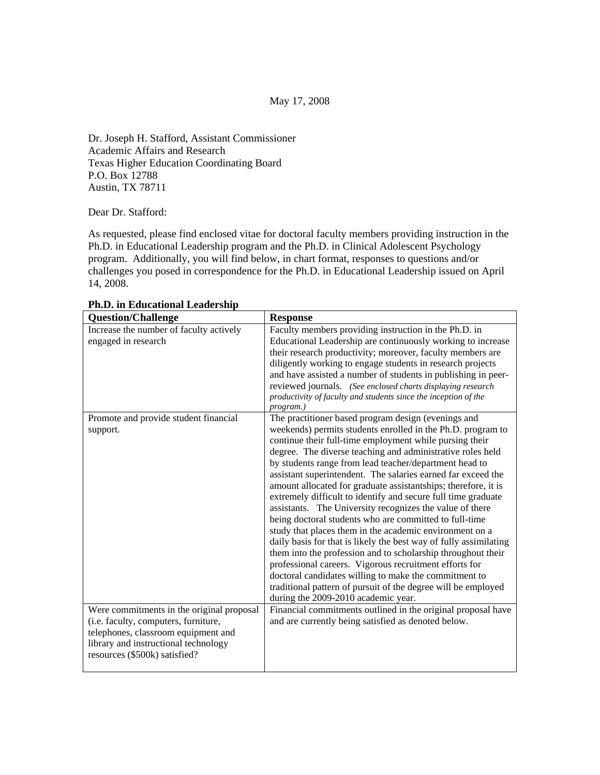May 17, 2008

Dr. Joseph H. Stafford, Assistant Commissioner Academic Affairs and Research Texas Higher Education Coordinating Board P.O. Box 12788 Austin, TX 78711

Dear Dr. Stafford:

As requested, please find enclosed vitae for doctoral faculty members providing instruction in the Ph.D. in Educational Leadership program and the Ph.D. in Clinical Adolescent Psychology program. Additionally, you will find below, in chart format, responses to questions and/or challenges you posed in correspondence for the Ph.D. in Educational Leadership issued on April 14, 2008.

| <b>Question/Challenge</b>                                             | <b>Response</b>                                                   |
|-----------------------------------------------------------------------|-------------------------------------------------------------------|
| Increase the number of faculty actively                               | Faculty members providing instruction in the Ph.D. in             |
| engaged in research                                                   | Educational Leadership are continuously working to increase       |
|                                                                       | their research productivity; moreover, faculty members are        |
|                                                                       | diligently working to engage students in research projects        |
|                                                                       | and have assisted a number of students in publishing in peer-     |
|                                                                       | reviewed journals. (See enclosed charts displaying research       |
|                                                                       | productivity of faculty and students since the inception of the   |
|                                                                       | program.)                                                         |
| Promote and provide student financial                                 | The practitioner based program design (evenings and               |
| support.                                                              | weekends) permits students enrolled in the Ph.D. program to       |
|                                                                       | continue their full-time employment while pursing their           |
|                                                                       | degree. The diverse teaching and administrative roles held        |
|                                                                       | by students range from lead teacher/department head to            |
|                                                                       | assistant superintendent. The salaries earned far exceed the      |
|                                                                       | amount allocated for graduate assistantships; therefore, it is    |
|                                                                       | extremely difficult to identify and secure full time graduate     |
|                                                                       | assistants. The University recognizes the value of there          |
|                                                                       | being doctoral students who are committed to full-time            |
|                                                                       | study that places them in the academic environment on a           |
|                                                                       | daily basis for that is likely the best way of fully assimilating |
|                                                                       | them into the profession and to scholarship throughout their      |
|                                                                       | professional careers. Vigorous recruitment efforts for            |
|                                                                       | doctoral candidates willing to make the commitment to             |
|                                                                       | traditional pattern of pursuit of the degree will be employed     |
|                                                                       | during the 2009-2010 academic year.                               |
| Were commitments in the original proposal                             | Financial commitments outlined in the original proposal have      |
| (i.e. faculty, computers, furniture,                                  | and are currently being satisfied as denoted below.               |
| telephones, classroom equipment and                                   |                                                                   |
| library and instructional technology<br>resources (\$500k) satisfied? |                                                                   |
|                                                                       |                                                                   |
|                                                                       |                                                                   |

**Ph.D. in Educational Leadership**